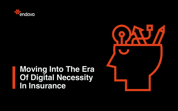

# **Moving Into The Era Of Digital Necessity In Insurance**

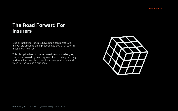

Like all industries, insurers have been confronted with market disruption at an unprecedented scale not seen in most of our lifetimes.

This disruption has of course posed serious challenges, like those caused by needing to work completely remotely, and simultaneously has revealed new opportunities and ways to innovate as a business.

# **The Road Forward For Insurers**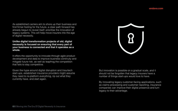

By innovating legacy customer-facing applications, such as claims processing and customer reporting, insurance companies can improve their digital presence and turn legacy to their advantage.

But innovation is possible on a gradual scale, and it should not be forgotten that legacy insurers have a number of things start-ups would love to have.

# As established carriers aim to shore up their business and

It offers the opportunity to innovate through agile product development and data to improve business continuity and mitigate future risk, as well as leapfrog the competition that fails to stay competitive.

Given the hype around digital disruption and Insurtech start-ups, established insurance providers might assume they need to re-platform everything, rip out what they currently have, and start again.

find firmer footing for the future, a clear path forward has already begun to reveal itself: prioritise the innovation of legacy systems. This will help move insurers into the age of digital necessity.

#### **Unlike digital transformation projects of old, digital necessity is focused on ensuring that every part of your business is connected and that it operates as a whole.**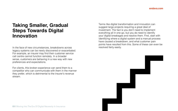# **Taking Smaller, Gradual Steps Towards Digital Innovation**

In the face of new circumstances, breakdowns across legacy systems can be newly discovered or exacerbated. For example, an insurer may find their customer service call centre cannot function remotely. In a broader sense, customers are behaving in a new way with new preferences and expectations.

For clients, this broken experience can send them to a competitor who can communicate with them in the manner they prefer, which is detrimental to the insurer's revenue stream.

Terms like digital transformation and innovation can suggest large projects requiring a great deal of investment. The fact is you don't need to implement everything all in one go, but you do need to identify your digital breakages and resolve them. First, start with identifying where a digital system and a manual process have caused a breakdown, and what customer pain points have resulted from this. Some of these can even be resolved fairly easily.

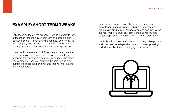Next, be sure to also look at how the business can move towards operating a fully distributed model while maintaining productivity, collaboration and security. When the next market disruption occurs, the business will be better prepared and continue with minimal disturbance.

Lastly, break this roadmap down into manageable projects and prioritise them depending on what is most pressing and what will best serve changing behaviours.



### **EXAMPLE: SHORT-TERM TWEAKS**

Let's focus on the claims process. It would be easy to look at the legacy technology underneath and assume that because it's old, it's something to replace. Before starting a big project, stop and listen to customer feedback and identify what it is they really want from that experience.

You may find there are quick fixes you can layer over the top of what you have today, which don't require huge fundamental changes but do result in valuable short-term improvements. Then you can take the time to plan a full customer self-service portal revamp that will improve the experience further.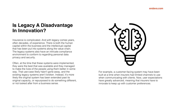

# **Is Legacy A Disadvantage In Innovation?**

Insurance is complicated. And with legacy comes years, often decades, of experience. There is both the human capital within the business and the intellectual capital that has been put into systems along the value chain. The legacy systems also have an intricate compliance environment to conform to regarding personal data privacy and security.

Often, at the time that these systems were implemented, they were the best that was available and they managed to make the lives of the people using them better in some way. That use-case likely hasn't gone away, and the existing legacy systems aren't broken. Instead, it's more likely the original system has been extended past its original capacity, or repurposed to do something different, or not looked after from a business sense.

For example, a customer-facing system may have been built at a time when insurers had limited channels to use when communicating with clients. Now, user expectations have greatly advanced, meaning that insurers have to innovate to keep up with customer preferences.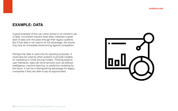

### **EXAMPLE: DATA**

A good example of this can come across in an insurer's use of data. Incumbent insurers have likely collected a great deal of data over the years through their legacy systems. But if that data is not used to its full advantage, the insurer may face an immediate shortcoming against competitors.

Perhaps the data is used only for reporting purposes. It could also be used by other systems to provide insights for marketing or richer pricing models. Thinking beyond user interfaces, data can drive services such as artificial intelligence, machine learning, or predictive modeling for the future. It can be a distinguishing advantage for legacy companies if they are able to tap its opportunities.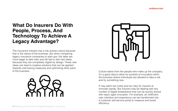

Culture stems from the people who make up the company. It's a good idea to allow for pockets of innovation within the business where individuals are allowed to take a risk and try something new.

It may seem too costly and too risky for insurers to innovate rapidly. But insurers may be dealing with any number of digital breakdowns that can be quickly solved with rapid, agile innovation. For example, an inefficient user interface and experience can be transformed into a customer self-service portal to measure and boost efficiency.

# **What Do Insurers Do With People, Process, And Technology To Achieve A Legacy Advantage?**

The insurance industry has a risk-averse culture because that is the nature of the business. But when comparing legacy insurance companies to start-ups, the latter are more eager to take risks and fail fast to test new ideas because they are completely digital by design. These new ideas can lead to creative solutions that can be applied towards cost-saving measures and optimising other parts of the business.

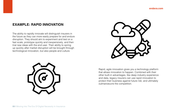

Rapid, agile innovation gives you a technology platform that allows innovation to happen. Combined with their other built-in advantages, like deep industry experience and data, legacy insurers can use rapid innovation to protect their business against future risk, and ultimately outmanoeuvre the competition.

#### **EXAMPLE: RAPID INNOVATION**

The ability to rapidly innovate will distinguish insurers in the future as they can more easily prepare for and endure disruption. They should aim to experiment and test on a fast scale, prototype quickly and inexpensively, and then trial new ideas with the end user. Their ability to spring up quickly after market disruption will be brought through technological innovation, but also people and culture.

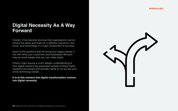

# **Digital Necessity As A Way Forward**

Overall, it has become obvious that organisations cannot remain the same and hope for a different outcome in the future, and technology is a major component of success.

Some of the solutions that will bring your legacy estate in line with what your customers and employees demand may be small tweaks that you can make easily.

Others might require a much deeper understanding of how digital needs to be expanded outside of those highly repetitive processes and actually needs to run across your entire technology estate.

**It is at this moment that digital transformation evolves into digital necessity.**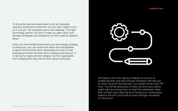

Anticipate a shift from glossy initiatives to a focus on smaller process and step-change innovation that has just as much value for the business, but maybe not as much PR clout. You will be doing less of what you think your clients might want and doing more of what they absolutely need. Why not take every learning from having your relationships tested to the limit, and build an even stronger foundation for the future?

To bring the elements described to life will probably require a significant investment, but you don't need to do it all in one go. The important part is the roadmap. The right technology partner will work to help you gain clarity and develop strategies and blueprints on how to deliver against these.

Once you have established where your technology strategy is taking you, you can break that down into manageable projects and prioritise them depending on what is most pressing and what will best serve changing behaviours. It is taking the digital element deeper into the organisation and changing the way that we think about innovation.